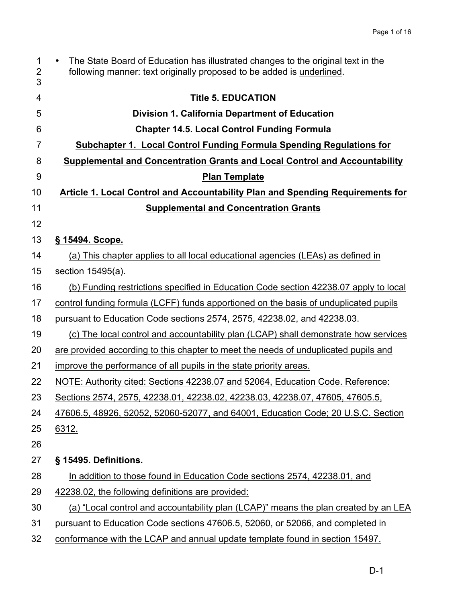| $\mathbf 1$<br>$\overline{2}$<br>3 | The State Board of Education has illustrated changes to the original text in the<br>following manner: text originally proposed to be added is underlined. |
|------------------------------------|-----------------------------------------------------------------------------------------------------------------------------------------------------------|
| 4                                  | <b>Title 5. EDUCATION</b>                                                                                                                                 |
| 5                                  | Division 1. California Department of Education                                                                                                            |
| 6                                  | <b>Chapter 14.5. Local Control Funding Formula</b>                                                                                                        |
| 7                                  | Subchapter 1. Local Control Funding Formula Spending Regulations for                                                                                      |
| 8                                  | Supplemental and Concentration Grants and Local Control and Accountability                                                                                |
| 9                                  | <b>Plan Template</b>                                                                                                                                      |
| 10                                 | Article 1. Local Control and Accountability Plan and Spending Requirements for                                                                            |
| 11                                 | <b>Supplemental and Concentration Grants</b>                                                                                                              |
| 12                                 |                                                                                                                                                           |
| 13                                 | § 15494. Scope.                                                                                                                                           |
| 14                                 | (a) This chapter applies to all local educational agencies (LEAs) as defined in                                                                           |
| 15                                 | section 15495(a).                                                                                                                                         |
| 16                                 | (b) Funding restrictions specified in Education Code section 42238.07 apply to local                                                                      |
| 17                                 | control funding formula (LCFF) funds apportioned on the basis of unduplicated pupils                                                                      |
| 18                                 | pursuant to Education Code sections 2574, 2575, 42238.02, and 42238.03.                                                                                   |
| 19                                 | (c) The local control and accountability plan (LCAP) shall demonstrate how services                                                                       |
| 20                                 | are provided according to this chapter to meet the needs of unduplicated pupils and                                                                       |
| 21                                 | improve the performance of all pupils in the state priority areas.                                                                                        |
| 22                                 | NOTE: Authority cited: Sections 42238.07 and 52064, Education Code. Reference:                                                                            |
| 23                                 | Sections 2574, 2575, 42238.01, 42238.02, 42238.03, 42238.07, 47605, 47605.5,                                                                              |
| 24                                 | 47606.5, 48926, 52052, 52060-52077, and 64001, Education Code; 20 U.S.C. Section                                                                          |
| 25                                 | 6312.                                                                                                                                                     |
| 26                                 |                                                                                                                                                           |
| 27                                 | § 15495. Definitions.                                                                                                                                     |
| 28                                 | In addition to those found in Education Code sections 2574, 42238.01, and                                                                                 |
| 29                                 | 42238.02, the following definitions are provided:                                                                                                         |
| 30                                 | (a) "Local control and accountability plan (LCAP)" means the plan created by an LEA                                                                       |
| 31                                 | pursuant to Education Code sections 47606.5, 52060, or 52066, and completed in                                                                            |
| 32                                 | conformance with the LCAP and annual update template found in section 15497.                                                                              |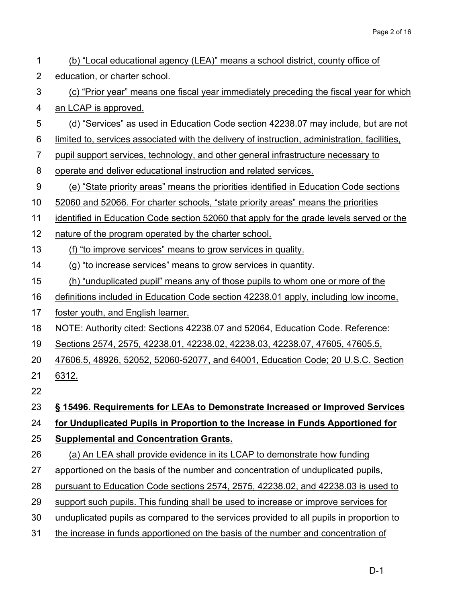| 1              | (b) "Local educational agency (LEA)" means a school district, county office of                |
|----------------|-----------------------------------------------------------------------------------------------|
| $\overline{2}$ | education, or charter school.                                                                 |
| 3              | (c) "Prior year" means one fiscal year immediately preceding the fiscal year for which        |
| 4              | an LCAP is approved.                                                                          |
| 5              | (d) "Services" as used in Education Code section 42238.07 may include, but are not            |
| 6              | limited to, services associated with the delivery of instruction, administration, facilities, |
| 7              | pupil support services, technology, and other general infrastructure necessary to             |
| 8              | operate and deliver educational instruction and related services.                             |
| 9              | (e) "State priority areas" means the priorities identified in Education Code sections         |
| 10             | 52060 and 52066. For charter schools, "state priority areas" means the priorities             |
| 11             | identified in Education Code section 52060 that apply for the grade levels served or the      |
| 12             | nature of the program operated by the charter school.                                         |
| 13             | (f) "to improve services" means to grow services in quality.                                  |
| 14             | (g) "to increase services" means to grow services in quantity.                                |
| 15             | (h) "unduplicated pupil" means any of those pupils to whom one or more of the                 |
| 16             | definitions included in Education Code section 42238.01 apply, including low income,          |
| 17             | foster youth, and English learner.                                                            |
| 18             | NOTE: Authority cited: Sections 42238.07 and 52064, Education Code. Reference:                |
| 19             | Sections 2574, 2575, 42238.01, 42238.02, 42238.03, 42238.07, 47605, 47605.5,                  |
| 20             | 47606.5, 48926, 52052, 52060-52077, and 64001, Education Code; 20 U.S.C. Section              |
| 21             | 6312.                                                                                         |
| 22             |                                                                                               |
| 23             | § 15496. Requirements for LEAs to Demonstrate Increased or Improved Services                  |
| 24             | for Unduplicated Pupils in Proportion to the Increase in Funds Apportioned for                |
| 25             | <b>Supplemental and Concentration Grants.</b>                                                 |
| 26             | (a) An LEA shall provide evidence in its LCAP to demonstrate how funding                      |
| 27             | apportioned on the basis of the number and concentration of unduplicated pupils,              |
| 28             | pursuant to Education Code sections 2574, 2575, 42238.02, and 42238.03 is used to             |
| 29             | support such pupils. This funding shall be used to increase or improve services for           |
| 30             | unduplicated pupils as compared to the services provided to all pupils in proportion to       |
| <b>O</b> 1     | the inercase in funde eppertianed on the begin of the number and concentration of             |

31 the increase in funds apportioned on the basis of the number and concentration of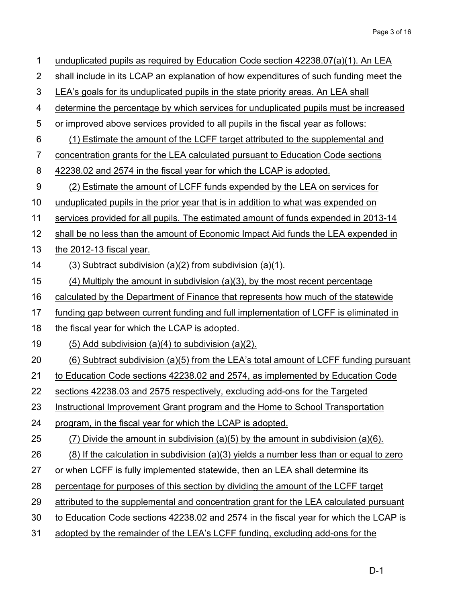| 1              | unduplicated pupils as required by Education Code section 42238.07(a)(1). An LEA            |
|----------------|---------------------------------------------------------------------------------------------|
| $\overline{2}$ | shall include in its LCAP an explanation of how expenditures of such funding meet the       |
| 3              | LEA's goals for its unduplicated pupils in the state priority areas. An LEA shall           |
| 4              | determine the percentage by which services for unduplicated pupils must be increased        |
| 5              | or improved above services provided to all pupils in the fiscal year as follows:            |
| 6              | (1) Estimate the amount of the LCFF target attributed to the supplemental and               |
| 7              | concentration grants for the LEA calculated pursuant to Education Code sections             |
| 8              | 42238.02 and 2574 in the fiscal year for which the LCAP is adopted.                         |
| 9              | (2) Estimate the amount of LCFF funds expended by the LEA on services for                   |
| 10             | unduplicated pupils in the prior year that is in addition to what was expended on           |
| 11             | services provided for all pupils. The estimated amount of funds expended in 2013-14         |
| 12             | shall be no less than the amount of Economic Impact Aid funds the LEA expended in           |
| 13             | the 2012-13 fiscal year.                                                                    |
| 14             | $(3)$ Subtract subdivision $(a)(2)$ from subdivision $(a)(1)$ .                             |
| 15             | $(4)$ Multiply the amount in subdivision $(a)(3)$ , by the most recent percentage           |
| 16             | calculated by the Department of Finance that represents how much of the statewide           |
| 17             | funding gap between current funding and full implementation of LCFF is eliminated in        |
| 18             | the fiscal year for which the LCAP is adopted.                                              |
| 19             | $(5)$ Add subdivision $(a)(4)$ to subdivision $(a)(2)$ .                                    |
| 20             | (6) Subtract subdivision (a)(5) from the LEA's total amount of LCFF funding pursuant        |
| 21             | to Education Code sections 42238.02 and 2574, as implemented by Education Code              |
| 22             | sections 42238.03 and 2575 respectively, excluding add-ons for the Targeted                 |
| 23             | Instructional Improvement Grant program and the Home to School Transportation               |
| 24             | program, in the fiscal year for which the LCAP is adopted.                                  |
| 25             | (7) Divide the amount in subdivision (a)(5) by the amount in subdivision (a)(6).            |
| 26             | $(8)$ If the calculation in subdivision $(a)(3)$ yields a number less than or equal to zero |
| 27             | or when LCFF is fully implemented statewide, then an LEA shall determine its                |
| 28             | percentage for purposes of this section by dividing the amount of the LCFF target           |
| 29             | attributed to the supplemental and concentration grant for the LEA calculated pursuant      |
| 30             | to Education Code sections 42238.02 and 2574 in the fiscal year for which the LCAP is       |
| 31             | adopted by the remainder of the LEA's LCFF funding, excluding add-ons for the               |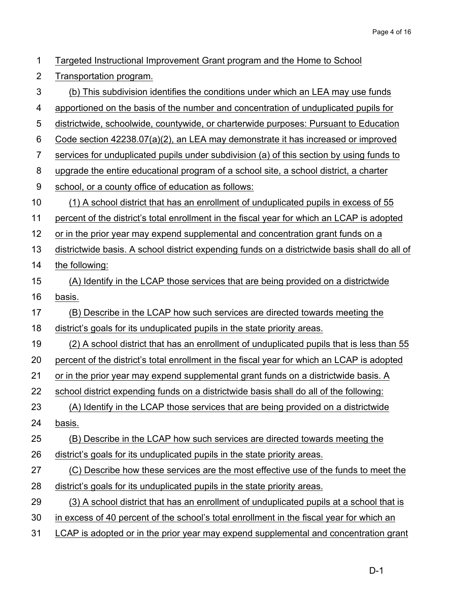| 1              | Targeted Instructional Improvement Grant program and the Home to School                       |
|----------------|-----------------------------------------------------------------------------------------------|
| $\overline{2}$ | Transportation program.                                                                       |
| 3              | (b) This subdivision identifies the conditions under which an LEA may use funds               |
| 4              | apportioned on the basis of the number and concentration of unduplicated pupils for           |
| 5              | districtwide, schoolwide, countywide, or charterwide purposes: Pursuant to Education          |
| 6              | Code section 42238.07(a)(2), an LEA may demonstrate it has increased or improved              |
| $\overline{7}$ | services for unduplicated pupils under subdivision (a) of this section by using funds to      |
| 8              | upgrade the entire educational program of a school site, a school district, a charter         |
| 9              | school, or a county office of education as follows:                                           |
| 10             | (1) A school district that has an enrollment of unduplicated pupils in excess of 55           |
| 11             | percent of the district's total enrollment in the fiscal year for which an LCAP is adopted    |
| 12             | or in the prior year may expend supplemental and concentration grant funds on a               |
| 13             | districtwide basis. A school district expending funds on a districtwide basis shall do all of |
| 14             | the following:                                                                                |
| 15             | (A) Identify in the LCAP those services that are being provided on a districtwide             |
| 16             | basis.                                                                                        |
| 17             | (B) Describe in the LCAP how such services are directed towards meeting the                   |
| 18             | district's goals for its unduplicated pupils in the state priority areas.                     |
| 19             | (2) A school district that has an enrollment of unduplicated pupils that is less than 55      |
| 20             | percent of the district's total enrollment in the fiscal year for which an LCAP is adopted    |
| 21             | or in the prior year may expend supplemental grant funds on a districtwide basis. A           |
| 22             | school district expending funds on a districtwide basis shall do all of the following:        |
| 23             | (A) Identify in the LCAP those services that are being provided on a districtwide             |
| 24             | basis.                                                                                        |
| 25             | (B) Describe in the LCAP how such services are directed towards meeting the                   |
| 26             | district's goals for its unduplicated pupils in the state priority areas.                     |
| 27             | (C) Describe how these services are the most effective use of the funds to meet the           |
| 28             | district's goals for its unduplicated pupils in the state priority areas.                     |
| 29             | (3) A school district that has an enrollment of unduplicated pupils at a school that is       |
| 30             | in excess of 40 percent of the school's total enrollment in the fiscal year for which an      |
| 31             | LCAP is adopted or in the prior year may expend supplemental and concentration grant          |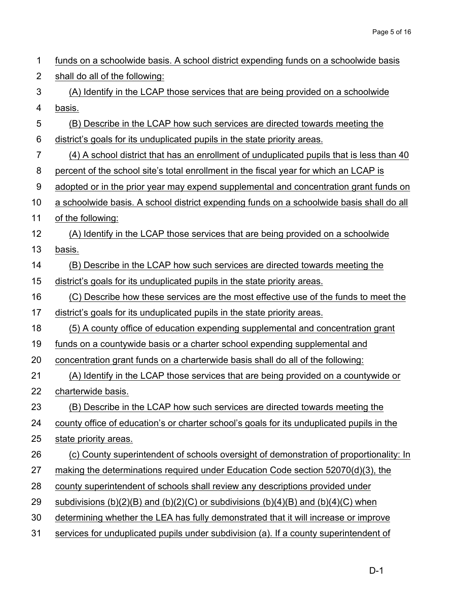| 1              | funds on a schoolwide basis. A school district expending funds on a schoolwide basis      |
|----------------|-------------------------------------------------------------------------------------------|
| $\overline{2}$ | shall do all of the following:                                                            |
| 3              | (A) Identify in the LCAP those services that are being provided on a schoolwide           |
| 4              | basis.                                                                                    |
| 5              | (B) Describe in the LCAP how such services are directed towards meeting the               |
| 6              | district's goals for its unduplicated pupils in the state priority areas.                 |
| $\overline{7}$ | (4) A school district that has an enrollment of unduplicated pupils that is less than 40  |
| 8              | percent of the school site's total enrollment in the fiscal year for which an LCAP is     |
| 9              | adopted or in the prior year may expend supplemental and concentration grant funds on     |
| 10             | a schoolwide basis. A school district expending funds on a schoolwide basis shall do all  |
| 11             | of the following:                                                                         |
| 12             | (A) Identify in the LCAP those services that are being provided on a schoolwide           |
| 13             | basis.                                                                                    |
| 14             | (B) Describe in the LCAP how such services are directed towards meeting the               |
| 15             | district's goals for its unduplicated pupils in the state priority areas.                 |
| 16             | (C) Describe how these services are the most effective use of the funds to meet the       |
| 17             | district's goals for its unduplicated pupils in the state priority areas.                 |
| 18             | (5) A county office of education expending supplemental and concentration grant           |
| 19             | funds on a countywide basis or a charter school expending supplemental and                |
| 20             | concentration grant funds on a charterwide basis shall do all of the following:           |
| 21             | (A) Identify in the LCAP those services that are being provided on a countywide or        |
| 22             | charterwide basis.                                                                        |
| 23             | (B) Describe in the LCAP how such services are directed towards meeting the               |
| 24             | county office of education's or charter school's goals for its unduplicated pupils in the |
| 25             | state priority areas.                                                                     |
| 26             | (c) County superintendent of schools oversight of demonstration of proportionality: In    |
| 27             | making the determinations required under Education Code section 52070(d)(3), the          |
| 28             | county superintendent of schools shall review any descriptions provided under             |
| 29             | subdivisions (b)(2)(B) and (b)(2)(C) or subdivisions (b)(4)(B) and (b)(4)(C) when         |
| 30             | determining whether the LEA has fully demonstrated that it will increase or improve       |
| 31             | services for unduplicated pupils under subdivision (a). If a county superintendent of     |